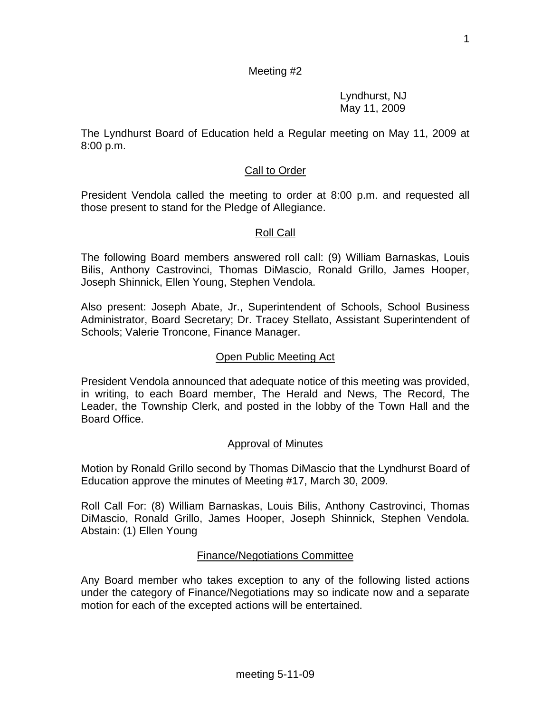#### Meeting #2

 Lyndhurst, NJ May 11, 2009

The Lyndhurst Board of Education held a Regular meeting on May 11, 2009 at 8:00 p.m.

#### Call to Order

President Vendola called the meeting to order at 8:00 p.m. and requested all those present to stand for the Pledge of Allegiance.

#### Roll Call

The following Board members answered roll call: (9) William Barnaskas, Louis Bilis, Anthony Castrovinci, Thomas DiMascio, Ronald Grillo, James Hooper, Joseph Shinnick, Ellen Young, Stephen Vendola.

Also present: Joseph Abate, Jr., Superintendent of Schools, School Business Administrator, Board Secretary; Dr. Tracey Stellato, Assistant Superintendent of Schools; Valerie Troncone, Finance Manager.

#### Open Public Meeting Act

President Vendola announced that adequate notice of this meeting was provided, in writing, to each Board member, The Herald and News, The Record, The Leader, the Township Clerk, and posted in the lobby of the Town Hall and the Board Office.

#### Approval of Minutes

Motion by Ronald Grillo second by Thomas DiMascio that the Lyndhurst Board of Education approve the minutes of Meeting #17, March 30, 2009.

Roll Call For: (8) William Barnaskas, Louis Bilis, Anthony Castrovinci, Thomas DiMascio, Ronald Grillo, James Hooper, Joseph Shinnick, Stephen Vendola. Abstain: (1) Ellen Young

#### Finance/Negotiations Committee

Any Board member who takes exception to any of the following listed actions under the category of Finance/Negotiations may so indicate now and a separate motion for each of the excepted actions will be entertained.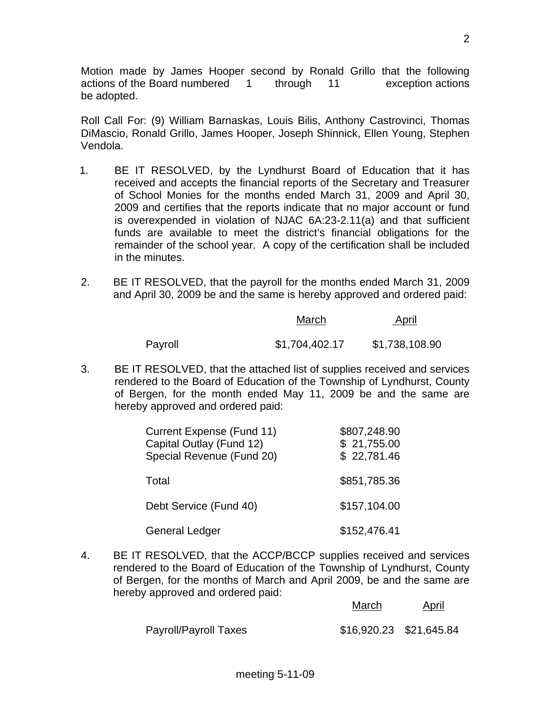Motion made by James Hooper second by Ronald Grillo that the following actions of the Board numbered 1 through 11 exception actions be adopted.

Roll Call For: (9) William Barnaskas, Louis Bilis, Anthony Castrovinci, Thomas DiMascio, Ronald Grillo, James Hooper, Joseph Shinnick, Ellen Young, Stephen Vendola.

- 1. BE IT RESOLVED, by the Lyndhurst Board of Education that it has received and accepts the financial reports of the Secretary and Treasurer of School Monies for the months ended March 31, 2009 and April 30, 2009 and certifies that the reports indicate that no major account or fund is overexpended in violation of NJAC 6A:23-2.11(a) and that sufficient funds are available to meet the district's financial obligations for the remainder of the school year. A copy of the certification shall be included in the minutes.
- 2. BE IT RESOLVED, that the payroll for the months ended March 31, 2009 and April 30, 2009 be and the same is hereby approved and ordered paid:

|         | March          | <u>April</u>   |
|---------|----------------|----------------|
| Payroll | \$1,704,402.17 | \$1,738,108.90 |

3. BE IT RESOLVED, that the attached list of supplies received and services rendered to the Board of Education of the Township of Lyndhurst, County of Bergen, for the month ended May 11, 2009 be and the same are hereby approved and ordered paid:

| Current Expense (Fund 11)<br>Capital Outlay (Fund 12)<br>Special Revenue (Fund 20) | \$807,248.90<br>\$21,755.00<br>\$22,781.46 |
|------------------------------------------------------------------------------------|--------------------------------------------|
| Total                                                                              | \$851,785.36                               |
| Debt Service (Fund 40)                                                             | \$157,104.00                               |
| <b>General Ledger</b>                                                              | \$152,476.41                               |

4. BE IT RESOLVED, that the ACCP/BCCP supplies received and services rendered to the Board of Education of the Township of Lyndhurst, County of Bergen, for the months of March and April 2009, be and the same are hereby approved and ordered paid:

|                       | March                   | <u>April</u> |
|-----------------------|-------------------------|--------------|
| Payroll/Payroll Taxes | \$16,920.23 \$21,645.84 |              |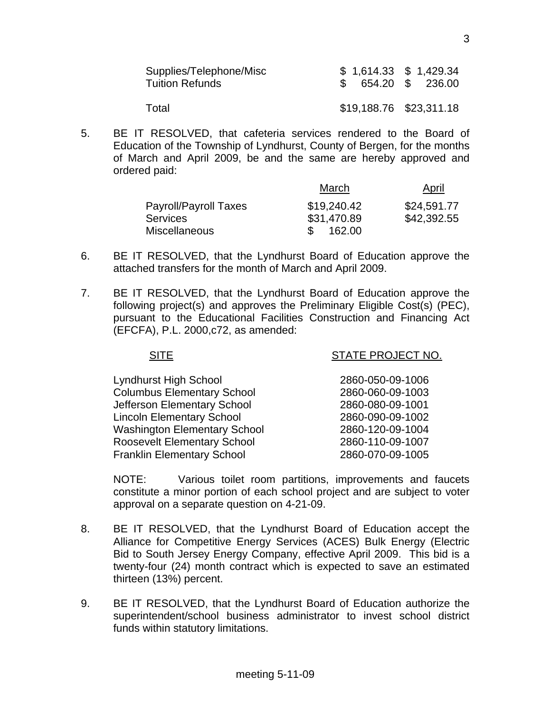| Supplies/Telephone/Misc<br><b>Tuition Refunds</b> | \$ 654.20 \$ 236.00     | $$1,614.33$ $$1,429.34$ |
|---------------------------------------------------|-------------------------|-------------------------|
| Total                                             | \$19,188.76 \$23,311.18 |                         |

5. BE IT RESOLVED, that cafeteria services rendered to the Board of Education of the Township of Lyndhurst, County of Bergen, for the months of March and April 2009, be and the same are hereby approved and ordered paid:

|                       | March       | <u>April</u> |
|-----------------------|-------------|--------------|
| Payroll/Payroll Taxes | \$19,240.42 | \$24,591.77  |
| <b>Services</b>       | \$31,470.89 | \$42,392.55  |
| <b>Miscellaneous</b>  | 162.00      |              |

- 6. BE IT RESOLVED, that the Lyndhurst Board of Education approve the attached transfers for the month of March and April 2009.
- 7. BE IT RESOLVED, that the Lyndhurst Board of Education approve the following project(s) and approves the Preliminary Eligible Cost(s) (PEC), pursuant to the Educational Facilities Construction and Financing Act (EFCFA), P.L. 2000,c72, as amended:

SITE SITE STATE PROJECT NO.

| Lyndhurst High School               | 2860-050-09-1006 |
|-------------------------------------|------------------|
| <b>Columbus Elementary School</b>   | 2860-060-09-1003 |
| Jefferson Elementary School         | 2860-080-09-1001 |
| <b>Lincoln Elementary School</b>    | 2860-090-09-1002 |
| <b>Washington Elementary School</b> | 2860-120-09-1004 |
| <b>Roosevelt Elementary School</b>  | 2860-110-09-1007 |
| <b>Franklin Elementary School</b>   | 2860-070-09-1005 |
|                                     |                  |

NOTE: Various toilet room partitions, improvements and faucets constitute a minor portion of each school project and are subject to voter approval on a separate question on 4-21-09.

- 8. BE IT RESOLVED, that the Lyndhurst Board of Education accept the Alliance for Competitive Energy Services (ACES) Bulk Energy (Electric Bid to South Jersey Energy Company, effective April 2009. This bid is a twenty-four (24) month contract which is expected to save an estimated thirteen (13%) percent.
- 9. BE IT RESOLVED, that the Lyndhurst Board of Education authorize the superintendent/school business administrator to invest school district funds within statutory limitations.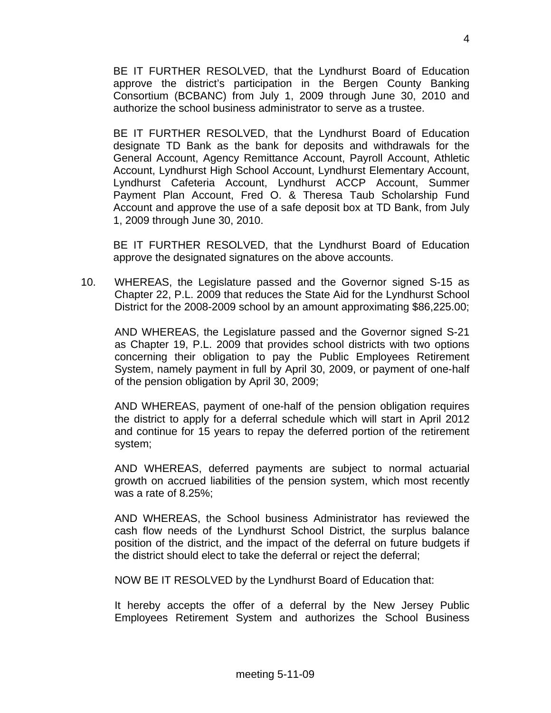BE IT FURTHER RESOLVED, that the Lyndhurst Board of Education approve the district's participation in the Bergen County Banking Consortium (BCBANC) from July 1, 2009 through June 30, 2010 and authorize the school business administrator to serve as a trustee.

BE IT FURTHER RESOLVED, that the Lyndhurst Board of Education designate TD Bank as the bank for deposits and withdrawals for the General Account, Agency Remittance Account, Payroll Account, Athletic Account, Lyndhurst High School Account, Lyndhurst Elementary Account, Lyndhurst Cafeteria Account, Lyndhurst ACCP Account, Summer Payment Plan Account, Fred O. & Theresa Taub Scholarship Fund Account and approve the use of a safe deposit box at TD Bank, from July 1, 2009 through June 30, 2010.

BE IT FURTHER RESOLVED, that the Lyndhurst Board of Education approve the designated signatures on the above accounts.

10. WHEREAS, the Legislature passed and the Governor signed S-15 as Chapter 22, P.L. 2009 that reduces the State Aid for the Lyndhurst School District for the 2008-2009 school by an amount approximating \$86,225.00;

 AND WHEREAS, the Legislature passed and the Governor signed S-21 as Chapter 19, P.L. 2009 that provides school districts with two options concerning their obligation to pay the Public Employees Retirement System, namely payment in full by April 30, 2009, or payment of one-half of the pension obligation by April 30, 2009;

 AND WHEREAS, payment of one-half of the pension obligation requires the district to apply for a deferral schedule which will start in April 2012 and continue for 15 years to repay the deferred portion of the retirement system;

 AND WHEREAS, deferred payments are subject to normal actuarial growth on accrued liabilities of the pension system, which most recently was a rate of 8.25%;

 AND WHEREAS, the School business Administrator has reviewed the cash flow needs of the Lyndhurst School District, the surplus balance position of the district, and the impact of the deferral on future budgets if the district should elect to take the deferral or reject the deferral;

NOW BE IT RESOLVED by the Lyndhurst Board of Education that:

 It hereby accepts the offer of a deferral by the New Jersey Public Employees Retirement System and authorizes the School Business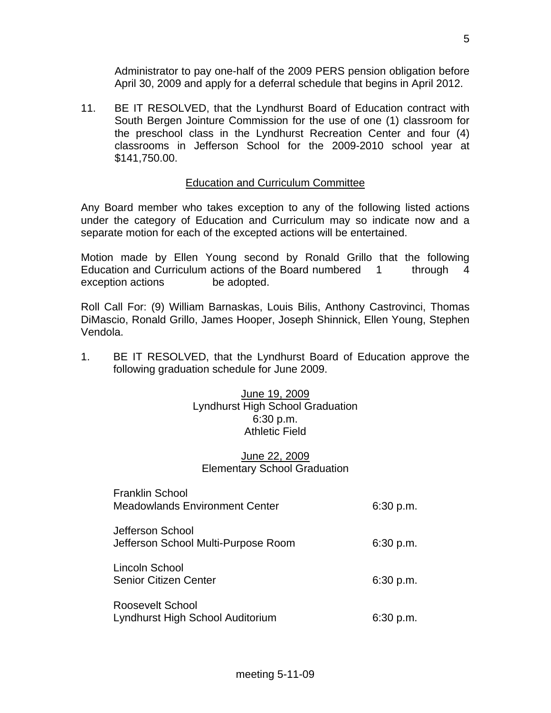Administrator to pay one-half of the 2009 PERS pension obligation before April 30, 2009 and apply for a deferral schedule that begins in April 2012.

11. BE IT RESOLVED, that the Lyndhurst Board of Education contract with South Bergen Jointure Commission for the use of one (1) classroom for the preschool class in the Lyndhurst Recreation Center and four (4) classrooms in Jefferson School for the 2009-2010 school year at \$141,750.00.

# Education and Curriculum Committee

Any Board member who takes exception to any of the following listed actions under the category of Education and Curriculum may so indicate now and a separate motion for each of the excepted actions will be entertained.

Motion made by Ellen Young second by Ronald Grillo that the following Education and Curriculum actions of the Board numbered 1 through 4 exception actions be adopted.

Roll Call For: (9) William Barnaskas, Louis Bilis, Anthony Castrovinci, Thomas DiMascio, Ronald Grillo, James Hooper, Joseph Shinnick, Ellen Young, Stephen Vendola.

1. BE IT RESOLVED, that the Lyndhurst Board of Education approve the following graduation schedule for June 2009.

# June 19, 2009 Lyndhurst High School Graduation 6:30 p.m. Athletic Field

# June 22, 2009 Elementary School Graduation

| <b>Franklin School</b><br><b>Meadowlands Environment Center</b> | 6:30 p.m. |
|-----------------------------------------------------------------|-----------|
| Jefferson School<br>Jefferson School Multi-Purpose Room         | 6:30 p.m. |
| Lincoln School<br>Senior Citizen Center                         | 6:30 p.m. |
| Roosevelt School<br>Lyndhurst High School Auditorium            | 6:30 p.m. |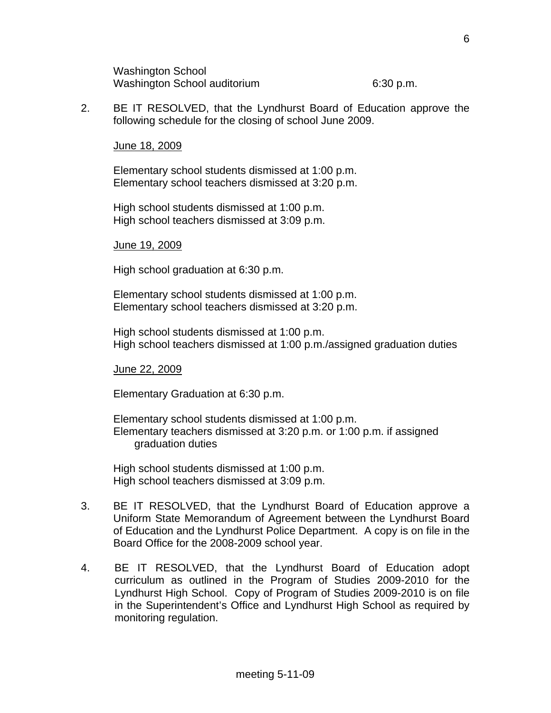Washington School Washington School auditorium 6:30 p.m.

2. BE IT RESOLVED, that the Lyndhurst Board of Education approve the following schedule for the closing of school June 2009.

#### June 18, 2009

Elementary school students dismissed at 1:00 p.m. Elementary school teachers dismissed at 3:20 p.m.

High school students dismissed at 1:00 p.m. High school teachers dismissed at 3:09 p.m.

June 19, 2009

High school graduation at 6:30 p.m.

Elementary school students dismissed at 1:00 p.m. Elementary school teachers dismissed at 3:20 p.m.

High school students dismissed at 1:00 p.m. High school teachers dismissed at 1:00 p.m./assigned graduation duties

June 22, 2009

Elementary Graduation at 6:30 p.m.

Elementary school students dismissed at 1:00 p.m. Elementary teachers dismissed at 3:20 p.m. or 1:00 p.m. if assigned graduation duties

High school students dismissed at 1:00 p.m. High school teachers dismissed at 3:09 p.m.

- 3. BE IT RESOLVED, that the Lyndhurst Board of Education approve a Uniform State Memorandum of Agreement between the Lyndhurst Board of Education and the Lyndhurst Police Department. A copy is on file in the Board Office for the 2008-2009 school year.
- 4. BE IT RESOLVED, that the Lyndhurst Board of Education adopt curriculum as outlined in the Program of Studies 2009-2010 for the Lyndhurst High School. Copy of Program of Studies 2009-2010 is on file in the Superintendent's Office and Lyndhurst High School as required by monitoring regulation.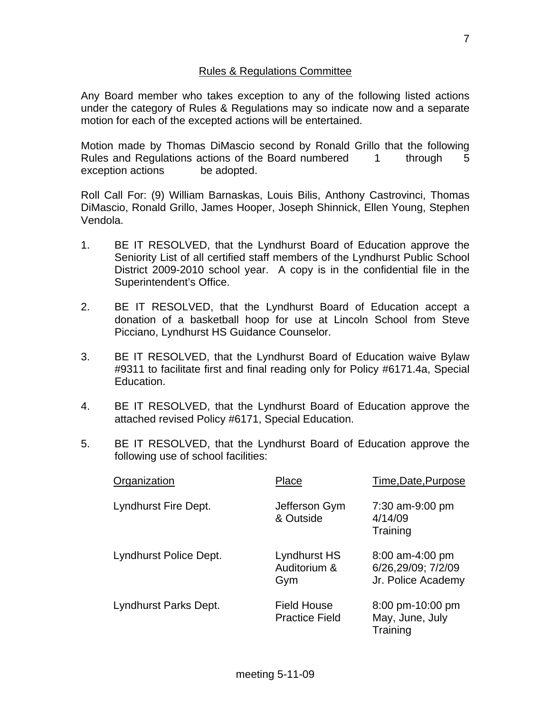## Rules & Regulations Committee

Any Board member who takes exception to any of the following listed actions under the category of Rules & Regulations may so indicate now and a separate motion for each of the excepted actions will be entertained.

Motion made by Thomas DiMascio second by Ronald Grillo that the following Rules and Regulations actions of the Board numbered 1 through 5 exception actions be adopted.

Roll Call For: (9) William Barnaskas, Louis Bilis, Anthony Castrovinci, Thomas DiMascio, Ronald Grillo, James Hooper, Joseph Shinnick, Ellen Young, Stephen Vendola.

- 1. BE IT RESOLVED, that the Lyndhurst Board of Education approve the Seniority List of all certified staff members of the Lyndhurst Public School District 2009-2010 school year. A copy is in the confidential file in the Superintendent's Office.
- 2. BE IT RESOLVED, that the Lyndhurst Board of Education accept a donation of a basketball hoop for use at Lincoln School from Steve Picciano, Lyndhurst HS Guidance Counselor.
- 3. BE IT RESOLVED, that the Lyndhurst Board of Education waive Bylaw #9311 to facilitate first and final reading only for Policy #6171.4a, Special Education.
- 4. BE IT RESOLVED, that the Lyndhurst Board of Education approve the attached revised Policy #6171, Special Education.
- 5. BE IT RESOLVED, that the Lyndhurst Board of Education approve the following use of school facilities:

| Organization           | Place                                       | Time, Date, Purpose                                           |
|------------------------|---------------------------------------------|---------------------------------------------------------------|
| Lyndhurst Fire Dept.   | Jefferson Gym<br>& Outside                  | 7:30 am-9:00 pm<br>4/14/09<br>Training                        |
| Lyndhurst Police Dept. | Lyndhurst HS<br>Auditorium &<br>Gym         | $8:00$ am-4:00 pm<br>6/26,29/09; 7/2/09<br>Jr. Police Academy |
| Lyndhurst Parks Dept.  | <b>Field House</b><br><b>Practice Field</b> | 8:00 pm-10:00 pm<br>May, June, July<br>Training               |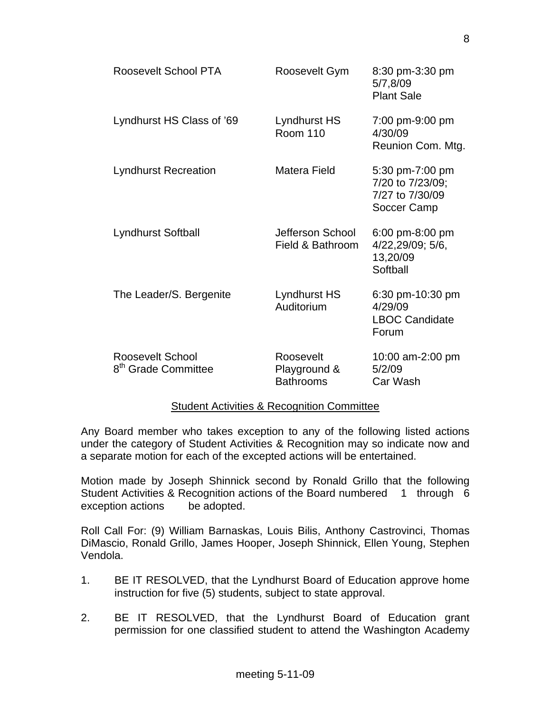| Roosevelt School PTA                                | Roosevelt Gym                                 | 8:30 pm-3:30 pm<br>5/7,8/09<br><b>Plant Sale</b>                      |
|-----------------------------------------------------|-----------------------------------------------|-----------------------------------------------------------------------|
| Lyndhurst HS Class of '69                           | Lyndhurst HS<br><b>Room 110</b>               | 7:00 pm-9:00 pm<br>4/30/09<br>Reunion Com. Mtg.                       |
| <b>Lyndhurst Recreation</b>                         | Matera Field                                  | 5:30 pm-7:00 pm<br>7/20 to 7/23/09;<br>7/27 to 7/30/09<br>Soccer Camp |
| <b>Lyndhurst Softball</b>                           | Jefferson School<br>Field & Bathroom          | 6:00 pm-8:00 pm<br>4/22,29/09; 5/6,<br>13,20/09<br>Softball           |
| The Leader/S. Bergenite                             | Lyndhurst HS<br>Auditorium                    | 6:30 pm-10:30 pm<br>4/29/09<br><b>LBOC Candidate</b><br>Forum         |
| Roosevelt School<br>8 <sup>th</sup> Grade Committee | Roosevelt<br>Playground &<br><b>Bathrooms</b> | 10:00 am-2:00 pm<br>5/2/09<br>Car Wash                                |

### Student Activities & Recognition Committee

Any Board member who takes exception to any of the following listed actions under the category of Student Activities & Recognition may so indicate now and a separate motion for each of the excepted actions will be entertained.

Motion made by Joseph Shinnick second by Ronald Grillo that the following Student Activities & Recognition actions of the Board numbered 1 through 6 exception actions be adopted.

Roll Call For: (9) William Barnaskas, Louis Bilis, Anthony Castrovinci, Thomas DiMascio, Ronald Grillo, James Hooper, Joseph Shinnick, Ellen Young, Stephen Vendola.

- 1. BE IT RESOLVED, that the Lyndhurst Board of Education approve home instruction for five (5) students, subject to state approval.
- 2. BE IT RESOLVED, that the Lyndhurst Board of Education grant permission for one classified student to attend the Washington Academy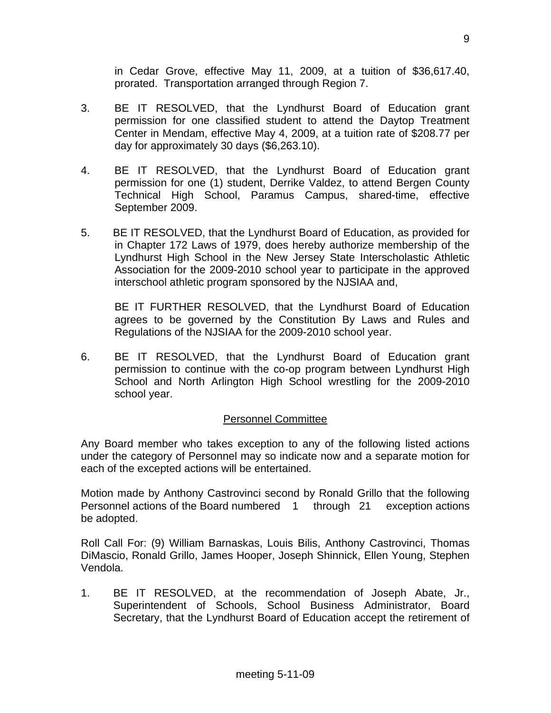in Cedar Grove, effective May 11, 2009, at a tuition of \$36,617.40, prorated. Transportation arranged through Region 7.

- 3. BE IT RESOLVED, that the Lyndhurst Board of Education grant permission for one classified student to attend the Daytop Treatment Center in Mendam, effective May 4, 2009, at a tuition rate of \$208.77 per day for approximately 30 days (\$6,263.10).
- 4. BE IT RESOLVED, that the Lyndhurst Board of Education grant permission for one (1) student, Derrike Valdez, to attend Bergen County Technical High School, Paramus Campus, shared-time, effective September 2009.
- 5. BE IT RESOLVED, that the Lyndhurst Board of Education, as provided for in Chapter 172 Laws of 1979, does hereby authorize membership of the Lyndhurst High School in the New Jersey State Interscholastic Athletic Association for the 2009-2010 school year to participate in the approved interschool athletic program sponsored by the NJSIAA and,

 BE IT FURTHER RESOLVED, that the Lyndhurst Board of Education agrees to be governed by the Constitution By Laws and Rules and Regulations of the NJSIAA for the 2009-2010 school year.

6. BE IT RESOLVED, that the Lyndhurst Board of Education grant permission to continue with the co-op program between Lyndhurst High School and North Arlington High School wrestling for the 2009-2010 school year.

# Personnel Committee

Any Board member who takes exception to any of the following listed actions under the category of Personnel may so indicate now and a separate motion for each of the excepted actions will be entertained.

Motion made by Anthony Castrovinci second by Ronald Grillo that the following Personnel actions of the Board numbered 1 through 21 exception actions be adopted.

Roll Call For: (9) William Barnaskas, Louis Bilis, Anthony Castrovinci, Thomas DiMascio, Ronald Grillo, James Hooper, Joseph Shinnick, Ellen Young, Stephen Vendola.

1. BE IT RESOLVED, at the recommendation of Joseph Abate, Jr., Superintendent of Schools, School Business Administrator, Board Secretary, that the Lyndhurst Board of Education accept the retirement of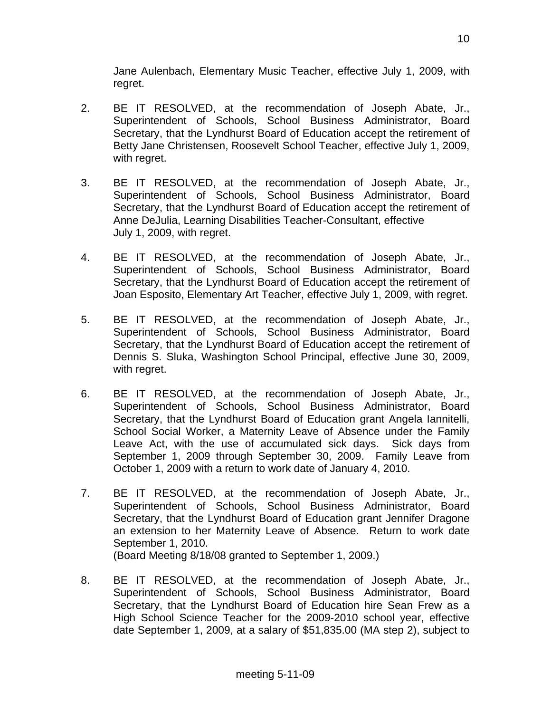Jane Aulenbach, Elementary Music Teacher, effective July 1, 2009, with regret.

- 2. BE IT RESOLVED, at the recommendation of Joseph Abate, Jr., Superintendent of Schools, School Business Administrator, Board Secretary, that the Lyndhurst Board of Education accept the retirement of Betty Jane Christensen, Roosevelt School Teacher, effective July 1, 2009, with regret.
- 3. BE IT RESOLVED, at the recommendation of Joseph Abate, Jr., Superintendent of Schools, School Business Administrator, Board Secretary, that the Lyndhurst Board of Education accept the retirement of Anne DeJulia, Learning Disabilities Teacher-Consultant, effective July 1, 2009, with regret.
- 4. BE IT RESOLVED, at the recommendation of Joseph Abate, Jr., Superintendent of Schools, School Business Administrator, Board Secretary, that the Lyndhurst Board of Education accept the retirement of Joan Esposito, Elementary Art Teacher, effective July 1, 2009, with regret.
- 5. BE IT RESOLVED, at the recommendation of Joseph Abate, Jr., Superintendent of Schools, School Business Administrator, Board Secretary, that the Lyndhurst Board of Education accept the retirement of Dennis S. Sluka, Washington School Principal, effective June 30, 2009, with regret.
- 6. BE IT RESOLVED, at the recommendation of Joseph Abate, Jr., Superintendent of Schools, School Business Administrator, Board Secretary, that the Lyndhurst Board of Education grant Angela Iannitelli, School Social Worker, a Maternity Leave of Absence under the Family Leave Act, with the use of accumulated sick days. Sick days from September 1, 2009 through September 30, 2009. Family Leave from October 1, 2009 with a return to work date of January 4, 2010.
- 7. BE IT RESOLVED, at the recommendation of Joseph Abate, Jr., Superintendent of Schools, School Business Administrator, Board Secretary, that the Lyndhurst Board of Education grant Jennifer Dragone an extension to her Maternity Leave of Absence. Return to work date September 1, 2010. (Board Meeting 8/18/08 granted to September 1, 2009.)
- 8. BE IT RESOLVED, at the recommendation of Joseph Abate, Jr., Superintendent of Schools, School Business Administrator, Board Secretary, that the Lyndhurst Board of Education hire Sean Frew as a High School Science Teacher for the 2009-2010 school year, effective date September 1, 2009, at a salary of \$51,835.00 (MA step 2), subject to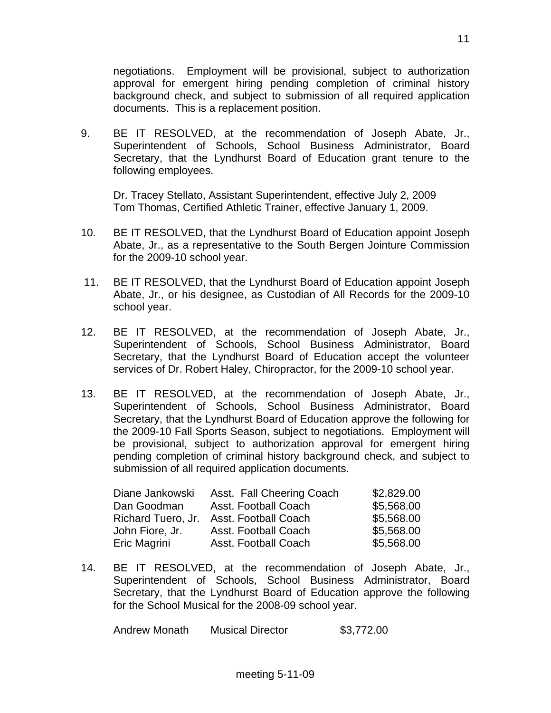negotiations. Employment will be provisional, subject to authorization approval for emergent hiring pending completion of criminal history background check, and subject to submission of all required application documents. This is a replacement position.

9. BE IT RESOLVED, at the recommendation of Joseph Abate, Jr., Superintendent of Schools, School Business Administrator, Board Secretary, that the Lyndhurst Board of Education grant tenure to the following employees.

Dr. Tracey Stellato, Assistant Superintendent, effective July 2, 2009 Tom Thomas, Certified Athletic Trainer, effective January 1, 2009.

- 10. BE IT RESOLVED, that the Lyndhurst Board of Education appoint Joseph Abate, Jr., as a representative to the South Bergen Jointure Commission for the 2009-10 school year.
- 11. BE IT RESOLVED, that the Lyndhurst Board of Education appoint Joseph Abate, Jr., or his designee, as Custodian of All Records for the 2009-10 school year.
- 12. BE IT RESOLVED, at the recommendation of Joseph Abate, Jr., Superintendent of Schools, School Business Administrator, Board Secretary, that the Lyndhurst Board of Education accept the volunteer services of Dr. Robert Haley, Chiropractor, for the 2009-10 school year.
- 13. BE IT RESOLVED, at the recommendation of Joseph Abate, Jr., Superintendent of Schools, School Business Administrator, Board Secretary, that the Lyndhurst Board of Education approve the following for the 2009-10 Fall Sports Season, subject to negotiations. Employment will be provisional, subject to authorization approval for emergent hiring pending completion of criminal history background check, and subject to submission of all required application documents.

| Diane Jankowski    | Asst. Fall Cheering Coach | \$2,829.00 |
|--------------------|---------------------------|------------|
| Dan Goodman        | Asst. Football Coach      | \$5,568.00 |
| Richard Tuero, Jr. | Asst. Football Coach      | \$5,568.00 |
| John Fiore, Jr.    | Asst. Football Coach      | \$5,568.00 |
| Eric Magrini       | Asst. Football Coach      | \$5,568.00 |

14. BE IT RESOLVED, at the recommendation of Joseph Abate, Jr., Superintendent of Schools, School Business Administrator, Board Secretary, that the Lyndhurst Board of Education approve the following for the School Musical for the 2008-09 school year.

Andrew Monath Musical Director \$3,772.00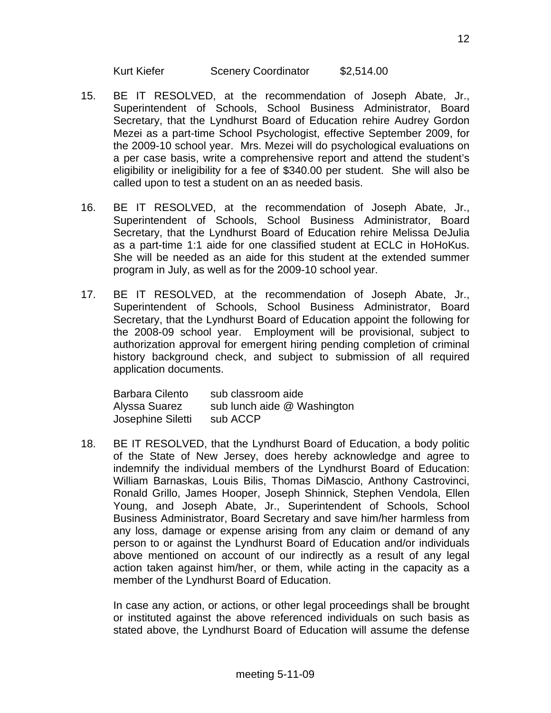# Kurt Kiefer Scenery Coordinator \$2,514.00

- 15. BE IT RESOLVED, at the recommendation of Joseph Abate, Jr., Superintendent of Schools, School Business Administrator, Board Secretary, that the Lyndhurst Board of Education rehire Audrey Gordon Mezei as a part-time School Psychologist, effective September 2009, for the 2009-10 school year. Mrs. Mezei will do psychological evaluations on a per case basis, write a comprehensive report and attend the student's eligibility or ineligibility for a fee of \$340.00 per student. She will also be called upon to test a student on an as needed basis.
- 16. BE IT RESOLVED, at the recommendation of Joseph Abate, Jr., Superintendent of Schools, School Business Administrator, Board Secretary, that the Lyndhurst Board of Education rehire Melissa DeJulia as a part-time 1:1 aide for one classified student at ECLC in HoHoKus. She will be needed as an aide for this student at the extended summer program in July, as well as for the 2009-10 school year.
- 17. BE IT RESOLVED, at the recommendation of Joseph Abate, Jr., Superintendent of Schools, School Business Administrator, Board Secretary, that the Lyndhurst Board of Education appoint the following for the 2008-09 school year. Employment will be provisional, subject to authorization approval for emergent hiring pending completion of criminal history background check, and subject to submission of all required application documents.

| <b>Barbara Cilento</b> | sub classroom aide          |
|------------------------|-----------------------------|
| Alyssa Suarez          | sub lunch aide @ Washington |
| Josephine Siletti      | sub ACCP                    |

18. BE IT RESOLVED, that the Lyndhurst Board of Education, a body politic of the State of New Jersey, does hereby acknowledge and agree to indemnify the individual members of the Lyndhurst Board of Education: William Barnaskas, Louis Bilis, Thomas DiMascio, Anthony Castrovinci, Ronald Grillo, James Hooper, Joseph Shinnick, Stephen Vendola, Ellen Young, and Joseph Abate, Jr., Superintendent of Schools, School Business Administrator, Board Secretary and save him/her harmless from any loss, damage or expense arising from any claim or demand of any person to or against the Lyndhurst Board of Education and/or individuals above mentioned on account of our indirectly as a result of any legal action taken against him/her, or them, while acting in the capacity as a member of the Lyndhurst Board of Education.

 In case any action, or actions, or other legal proceedings shall be brought or instituted against the above referenced individuals on such basis as stated above, the Lyndhurst Board of Education will assume the defense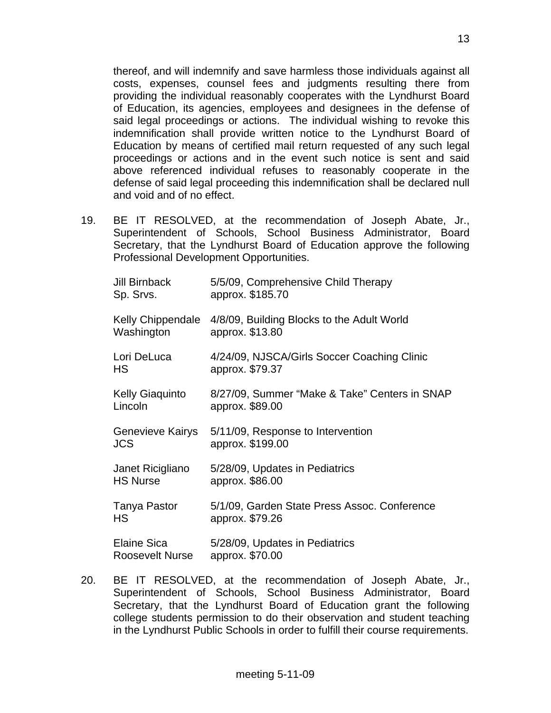thereof, and will indemnify and save harmless those individuals against all costs, expenses, counsel fees and judgments resulting there from providing the individual reasonably cooperates with the Lyndhurst Board of Education, its agencies, employees and designees in the defense of said legal proceedings or actions. The individual wishing to revoke this indemnification shall provide written notice to the Lyndhurst Board of Education by means of certified mail return requested of any such legal proceedings or actions and in the event such notice is sent and said above referenced individual refuses to reasonably cooperate in the defense of said legal proceeding this indemnification shall be declared null and void and of no effect.

19. BE IT RESOLVED, at the recommendation of Joseph Abate, Jr., Superintendent of Schools, School Business Administrator, Board Secretary, that the Lyndhurst Board of Education approve the following Professional Development Opportunities.

| <b>Jill Birnback</b><br>Sp. Srvs.            | 5/5/09, Comprehensive Child Therapy<br>approx. \$185.70          |
|----------------------------------------------|------------------------------------------------------------------|
| <b>Kelly Chippendale</b><br>Washington       | 4/8/09, Building Blocks to the Adult World<br>approx. \$13.80    |
| Lori DeLuca<br><b>HS</b>                     | 4/24/09, NJSCA/Girls Soccer Coaching Clinic<br>approx. \$79.37   |
| <b>Kelly Giaquinto</b><br>Lincoln            | 8/27/09, Summer "Make & Take" Centers in SNAP<br>approx. \$89.00 |
| Genevieve Kairys<br><b>JCS</b>               | 5/11/09, Response to Intervention<br>approx. \$199.00            |
| Janet Ricigliano<br><b>HS Nurse</b>          | 5/28/09, Updates in Pediatrics<br>approx. \$86.00                |
| Tanya Pastor<br><b>HS</b>                    | 5/1/09, Garden State Press Assoc. Conference<br>approx. \$79.26  |
| <b>Elaine Sica</b><br><b>Roosevelt Nurse</b> | 5/28/09, Updates in Pediatrics<br>approx. \$70.00                |

20. BE IT RESOLVED, at the recommendation of Joseph Abate, Jr., Superintendent of Schools, School Business Administrator, Board Secretary, that the Lyndhurst Board of Education grant the following college students permission to do their observation and student teaching in the Lyndhurst Public Schools in order to fulfill their course requirements.